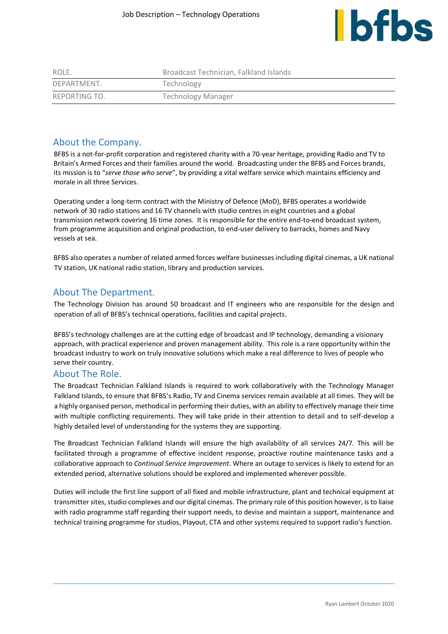

| ROLE.         | Broadcast Technician, Falkland Islands |
|---------------|----------------------------------------|
| DEPARTMENT.   | Technology                             |
| REPORTING TO. | <b>Technology Manager</b>              |

# About the Company.

BFBS is a not-for-profit corporation and registered charity with a 70-year heritage, providing Radio and TV to Britain's Armed Forces and their families around the world. Broadcasting under the BFBS and Forces brands, its mission is to "*serve those who serve*", by providing a vital welfare service which maintains efficiency and morale in all three Services.

Operating under a long-term contract with the Ministry of Defence (MoD), BFBS operates a worldwide network of 30 radio stations and 16 TV channels with studio centres in eight countries and a global transmission network covering 16 time zones. It is responsible for the entire end-to-end broadcast system, from programme acquisition and original production, to end-user delivery to barracks, homes and Navy vessels at sea.

BFBS also operates a number of related armed forces welfare businesses including digital cinemas, a UK national TV station, UK national radio station, library and production services.

## About The Department.

The Technology Division has around 50 broadcast and IT engineers who are responsible for the design and operation of all of BFBS's technical operations, facilities and capital projects.

BFBS's technology challenges are at the cutting edge of broadcast and IP technology, demanding a visionary approach, with practical experience and proven management ability. This role is a rare opportunity within the broadcast industry to work on truly innovative solutions which make a real difference to lives of people who serve their country.

#### About The Role.

The Broadcast Technician Falkland Islands is required to work collaboratively with the Technology Manager Falkland Islands, to ensure that BFBS's Radio, TV and Cinema services remain available at all times. They will be a highly organised person, methodical in performing their duties, with an ability to effectively manage their time with multiple conflicting requirements. They will take pride in their attention to detail and to self-develop a highly detailed level of understanding for the systems they are supporting.

The Broadcast Technician Falkland Islands will ensure the high availability of all services 24/7. This will be facilitated through a programme of effective incident response, proactive routine maintenance tasks and a collaborative approach to *Continual Service Improvement*. Where an outage to services is likely to extend for an extended period, alternative solutions should be explored and implemented wherever possible.

Duties will include the first line support of all fixed and mobile infrastructure, plant and technical equipment at transmitter sites, studio complexes and our digital cinemas. The primary role of this position however, is to liaise with radio programme staff regarding their support needs, to devise and maintain a support, maintenance and technical training programme for studios, Playout, CTA and other systems required to support radio's function.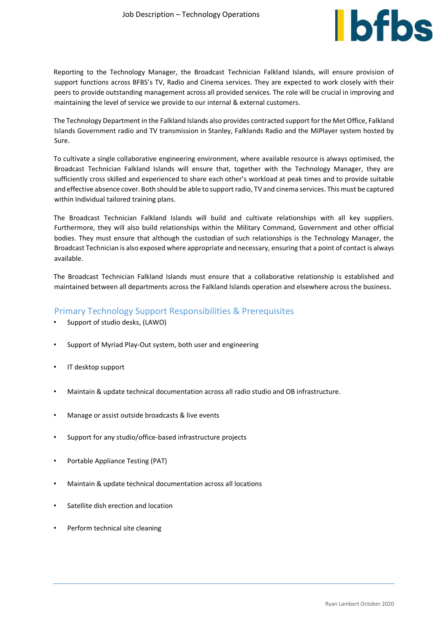

Reporting to the Technology Manager, the Broadcast Technician Falkland Islands, will ensure provision of support functions across BFBS's TV, Radio and Cinema services. They are expected to work closely with their peers to provide outstanding management across all provided services. The role will be crucial in improving and maintaining the level of service we provide to our internal & external customers.

The Technology Department in the Falkland Islands also provides contracted support for the Met Office, Falkland Islands Government radio and TV transmission in Stanley, Falklands Radio and the MiPlayer system hosted by Sure.

To cultivate a single collaborative engineering environment, where available resource is always optimised, the Broadcast Technician Falkland Islands will ensure that, together with the Technology Manager, they are sufficiently cross skilled and experienced to share each other's workload at peak times and to provide suitable and effective absence cover. Both should be able to support radio, TV and cinema services. This must be captured within Individual tailored training plans.

The Broadcast Technician Falkland Islands will build and cultivate relationships with all key suppliers. Furthermore, they will also build relationships within the Military Command, Government and other official bodies. They must ensure that although the custodian of such relationships is the Technology Manager, the Broadcast Technician is also exposed where appropriate and necessary, ensuring that a point of contact is always available.

The Broadcast Technician Falkland Islands must ensure that a collaborative relationship is established and maintained between all departments across the Falkland Islands operation and elsewhere across the business.

#### Primary Technology Support Responsibilities & Prerequisites

- Support of studio desks, (LAWO)
- Support of Myriad Play-Out system, both user and engineering
- IT desktop support
- Maintain & update technical documentation across all radio studio and OB infrastructure.
- Manage or assist outside broadcasts & live events
- Support for any studio/office-based infrastructure projects
- Portable Appliance Testing (PAT)
- Maintain & update technical documentation across all locations
- Satellite dish erection and location
- Perform technical site cleaning